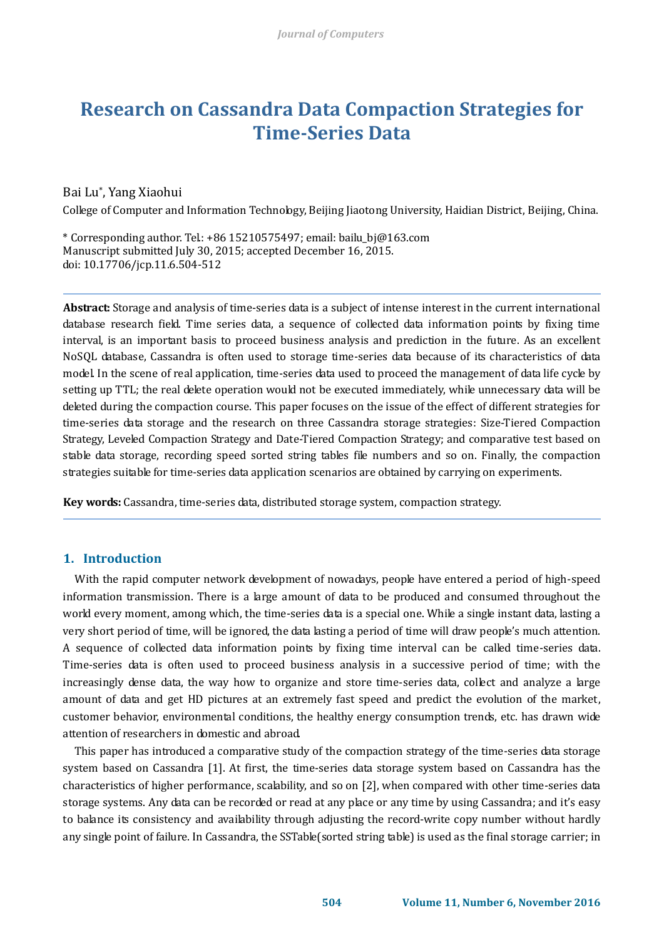# **Research on Cassandra Data Compaction Strategies for Time-Series Data**

## Bai Lu\* , Yang Xiaohui

College of Computer and Information Technology, Beijing Jiaotong University, Haidian District, Beijing, China.

\* Corresponding author. Tel.: +86 15210575497; email: bailu\_bj@163.com Manuscript submitted July 30, 2015; accepted December 16, 2015. doi: 10.17706/jcp.11.6.504-512

**Abstract:** Storage and analysis of time-series data is a subject of intense interest in the current international database research field. Time series data, a sequence of collected data information points by fixing time interval, is an important basis to proceed business analysis and prediction in the future. As an excellent NoSQL database, Cassandra is often used to storage time-series data because of its characteristics of data model. In the scene of real application, time-series data used to proceed the management of data life cycle by setting up TTL; the real delete operation would not be executed immediately, while unnecessary data will be deleted during the compaction course. This paper focuses on the issue of the effect of different strategies for time-series data storage and the research on three Cassandra storage strategies: Size-Tiered Compaction Strategy, Leveled Compaction Strategy and Date-Tiered Compaction Strategy; and comparative test based on stable data storage, recording speed sorted string tables file numbers and so on. Finally, the compaction strategies suitable for time-series data application scenarios are obtained by carrying on experiments.

**Key words:** Cassandra, time-series data, distributed storage system, compaction strategy.

## **1. Introduction**

With the rapid computer network development of nowadays, people have entered a period of high-speed information transmission. There is a large amount of data to be produced and consumed throughout the world every moment, among which, the time-series data is a special one. While a single instant data, lasting a very short period of time, will be ignored, the data lasting a period of time will draw people's much attention. A sequence of collected data information points by fixing time interval can be called time-series data. Time-series data is often used to proceed business analysis in a successive period of time; with the increasingly dense data, the way how to organize and store time-series data, collect and analyze a large amount of data and get HD pictures at an extremely fast speed and predict the evolution of the market, customer behavior, environmental conditions, the healthy energy consumption trends, etc. has drawn wide attention of researchers in domestic and abroad.

This paper has introduced a comparative study of the compaction strategy of the time-series data storage system based on Cassandra [1]. At first, the time-series data storage system based on Cassandra has the characteristics of higher performance, scalability, and so on [2], when compared with other time-series data storage systems. Any data can be recorded or read at any place or any time by using Cassandra; and it's easy to balance its consistency and availability through adjusting the record-write copy number without hardly any single point of failure. In Cassandra, the SSTable(sorted string table) is used as the final storage carrier; in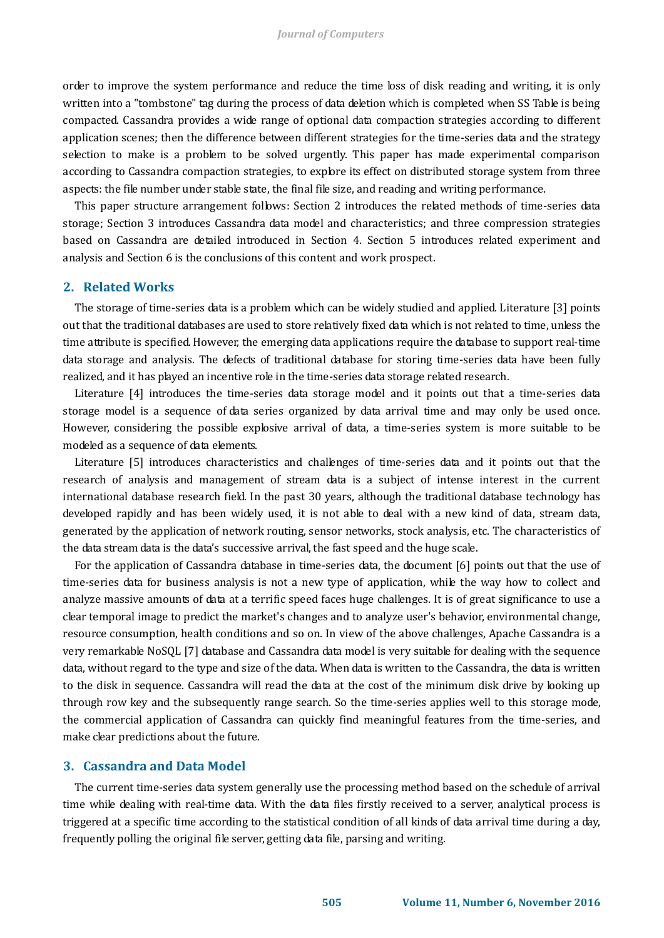order to improve the system performance and reduce the time loss of disk reading and writing, it is only written into a "tombstone" tag during the process of data deletion which is completed when SS Table is being compacted. Cassandra provides a wide range of optional data compaction strategies according to different application scenes; then the difference between different strategies for the time-series data and the strategy selection to make is a problem to be solved urgently. This paper has made experimental comparison according to Cassandra compaction strategies, to explore its effect on distributed storage system from three aspects: the file number under stable state, the final file size, and reading and writing performance.

This paper structure arrangement follows: Section 2 introduces the related methods of time-series data storage; Section 3 introduces Cassandra data model and characteristics; and three compression strategies based on Cassandra are detailed introduced in Section 4. Section 5 introduces related experiment and analysis and Section 6 is the conclusions of this content and work prospect.

## **2. Related Works**

The storage of time-series data is a problem which can be widely studied and applied. Literature [3] points out that the traditional databases are used to store relatively fixed data which is not related to time, unless the time attribute is specified. However, the emerging data applications require the database to support real-time data storage and analysis. The defects of traditional database for storing time-series data have been fully realized, and it has played an incentive role in the time-series data storage related research.

Literature [4] introduces the time-series data storage model and it points out that a time-series data storage model is a sequence of data series organized by data arrival time and may only be used once. However, considering the possible explosive arrival of data, a time-series system is more suitable to be modeled as a sequence of data elements.

Literature [5] introduces characteristics and challenges of time-series data and it points out that the research of analysis and management of stream data is a subject of intense interest in the current international database research field. In the past 30 years, although the traditional database technology has developed rapidly and has been widely used, it is not able to deal with a new kind of data, stream data, generated by the application of network routing, sensor networks, stock analysis, etc. The characteristics of the data stream data is the data's successive arrival, the fast speed and the huge scale.

For the application of Cassandra database in time-series data, the document [6] points out that the use of time-series data for business analysis is not a new type of application, while the way how to collect and analyze massive amounts of data at a terrific speed faces huge challenges. It is of great significance to use a clear temporal image to predict the market's changes and to analyze user's behavior, environmental change, resource consumption, health conditions and so on. In view of the above challenges, Apache Cassandra is a very remarkable NoSQL [7] database and Cassandra data model is very suitable for dealing with the sequence data, without regard to the type and size of the data. When data is written to the Cassandra, the data is written to the disk in sequence. Cassandra will read the data at the cost of the minimum disk drive by looking up through row key and the subsequently range search. So the time-series applies well to this storage mode, the commercial application of Cassandra can quickly find meaningful features from the time-series, and make clear predictions about the future.

## **3. Cassandra and Data Model**

The current time-series data system generally use the processing method based on the schedule of arrival time while dealing with real-time data. With the data files firstly received to a server, analytical process is triggered at a specific time according to the statistical condition of all kinds of data arrival time during a day, frequently polling the original file server, getting data file, parsing and writing.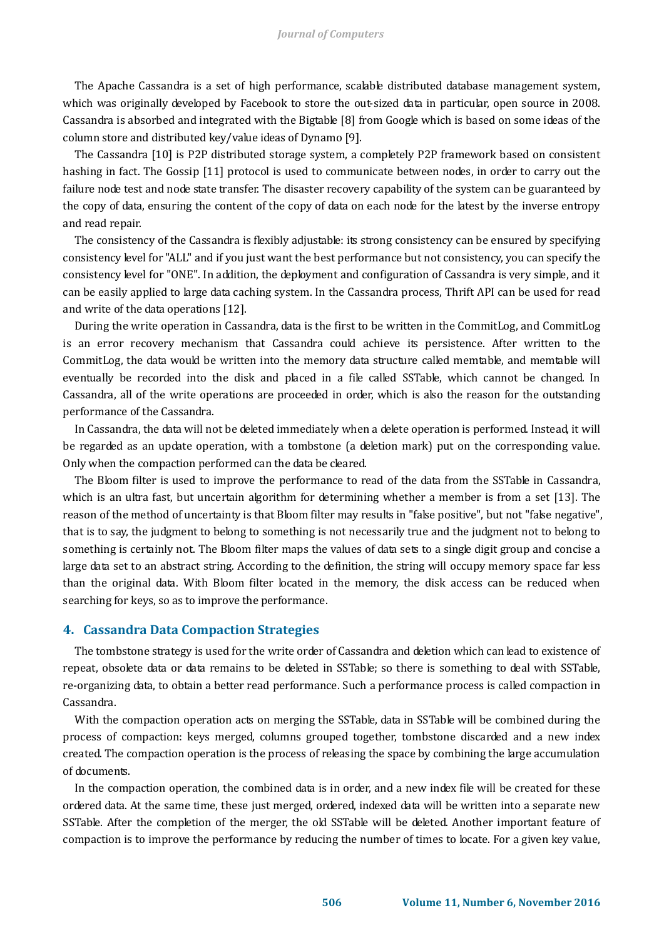The Apache Cassandra is a set of high performance, scalable distributed database management system, which was originally developed by Facebook to store the out-sized data in particular, open source in 2008. Cassandra is absorbed and integrated with the Bigtable [8] from Google which is based on some ideas of the column store and distributed key/value ideas of Dynamo [9].

The Cassandra [10] is P2P distributed storage system, a completely P2P framework based on consistent hashing in fact. The Gossip [11] protocol is used to communicate between nodes, in order to carry out the failure node test and node state transfer. The disaster recovery capability of the system can be guaranteed by the copy of data, ensuring the content of the copy of data on each node for the latest by the inverse entropy and read repair.

The consistency of the Cassandra is flexibly adjustable: its strong consistency can be ensured by specifying consistency level for "ALL" and if you just want the best performance but not consistency, you can specify the consistency level for "ONE". In addition, the deployment and configuration of Cassandra is very simple, and it can be easily applied to large data caching system. In the Cassandra process, Thrift API can be used for read and write of the data operations [12].

During the write operation in Cassandra, data is the first to be written in the CommitLog, and CommitLog is an error recovery mechanism that Cassandra could achieve its persistence. After written to the CommitLog, the data would be written into the memory data structure called memtable, and memtable will eventually be recorded into the disk and placed in a file called SSTable, which cannot be changed. In Cassandra, all of the write operations are proceeded in order, which is also the reason for the outstanding performance of the Cassandra.

In Cassandra, the data will not be deleted immediately when a delete operation is performed. Instead, it will be regarded as an update operation, with a tombstone (a deletion mark) put on the corresponding value. Only when the compaction performed can the data be cleared.

The Bloom filter is used to improve the performance to read of the data from the SSTable in Cassandra, which is an ultra fast, but uncertain algorithm for determining whether a member is from a set [13]. The reason of the method of uncertainty is that Bloom filter may results in "false positive", but not "false negative", that is to say, the judgment to belong to something is not necessarily true and the judgment not to belong to something is certainly not. The Bloom filter maps the values of data sets to a single digit group and concise a large data set to an abstract string. According to the definition, the string will occupy memory space far less than the original data. With Bloom filter located in the memory, the disk access can be reduced when searching for keys, so as to improve the performance.

#### **4. Cassandra Data Compaction Strategies**

The tombstone strategy is used for the write order of Cassandra and deletion which can lead to existence of repeat, obsolete data or data remains to be deleted in SSTable; so there is something to deal with SSTable, re-organizing data, to obtain a better read performance. Such a performance process is called compaction in Cassandra.

With the compaction operation acts on merging the SSTable, data in SSTable will be combined during the process of compaction: keys merged, columns grouped together, tombstone discarded and a new index created. The compaction operation is the process of releasing the space by combining the large accumulation of documents.

In the compaction operation, the combined data is in order, and a new index file will be created for these ordered data. At the same time, these just merged, ordered, indexed data will be written into a separate new SSTable. After the completion of the merger, the old SSTable will be deleted. Another important feature of compaction is to improve the performance by reducing the number of times to locate. For a given key value,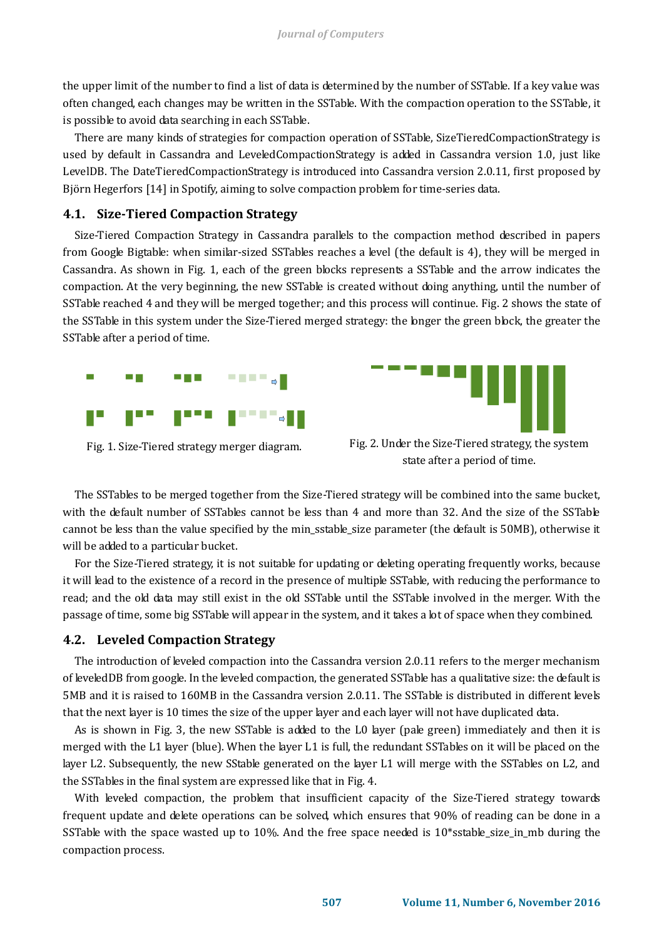the upper limit of the number to find a list of data is determined by the number of SSTable. If a key value was often changed, each changes may be written in the SSTable. With the compaction operation to the SSTable, it is possible to avoid data searching in each SSTable.

There are many kinds of strategies for compaction operation of SSTable, SizeTieredCompactionStrategy is used by default in Cassandra and LeveledCompactionStrategy is added in Cassandra version 1.0, just like LevelDB. The DateTieredCompactionStrategy is introduced into Cassandra version 2.0.11, first proposed by Björn Hegerfors [14] in Spotify, aiming to solve compaction problem for time-series data.

#### **4.1. Size-Tiered Compaction Strategy**

Size-Tiered Compaction Strategy in Cassandra parallels to the compaction method described in papers from Google Bigtable: when similar-sized SSTables reaches a level (the default is 4), they will be merged in Cassandra. As shown in Fig. 1, each of the green blocks represents a SSTable and the arrow indicates the compaction. At the very beginning, the new SSTable is created without doing anything, until the number of SSTable reached 4 and they will be merged together; and this process will continue. Fig. 2 shows the state of the SSTable in this system under the Size-Tiered merged strategy: the longer the green block, the greater the SSTable after a period of time.





Fig. 1. Size-Tiered strategy merger diagram. Fig. 2. Under the Size-Tiered strategy, the system state after a period of time.

The SSTables to be merged together from the Size-Tiered strategy will be combined into the same bucket, with the default number of SSTables cannot be less than 4 and more than 32. And the size of the SSTable cannot be less than the value specified by the min\_sstable\_size parameter (the default is 50MB), otherwise it will be added to a particular bucket.

For the Size-Tiered strategy, it is not suitable for updating or deleting operating frequently works, because it will lead to the existence of a record in the presence of multiple SSTable, with reducing the performance to read; and the old data may still exist in the old SSTable until the SSTable involved in the merger. With the passage of time, some big SSTable will appear in the system, and it takes a lot of space when they combined.

## **4.2. Leveled Compaction Strategy**

The introduction of leveled compaction into the Cassandra version 2.0.11 refers to the merger mechanism of leveledDB from google. In the leveled compaction, the generated SSTable has a qualitative size: the default is 5MB and it is raised to 160MB in the Cassandra version 2.0.11. The SSTable is distributed in different levels that the next layer is 10 times the size of the upper layer and each layer will not have duplicated data.

As is shown in Fig. 3, the new SSTable is added to the L0 layer (pale green) immediately and then it is merged with the L1 layer (blue). When the layer L1 is full, the redundant SSTables on it will be placed on the layer L2. Subsequently, the new SStable generated on the layer L1 will merge with the SSTables on L2, and the SSTables in the final system are expressed like that in Fig. 4.

With leveled compaction, the problem that insufficient capacity of the Size-Tiered strategy towards frequent update and delete operations can be solved, which ensures that 90% of reading can be done in a SSTable with the space wasted up to 10%. And the free space needed is  $10*$ sstable size in mb during the compaction process.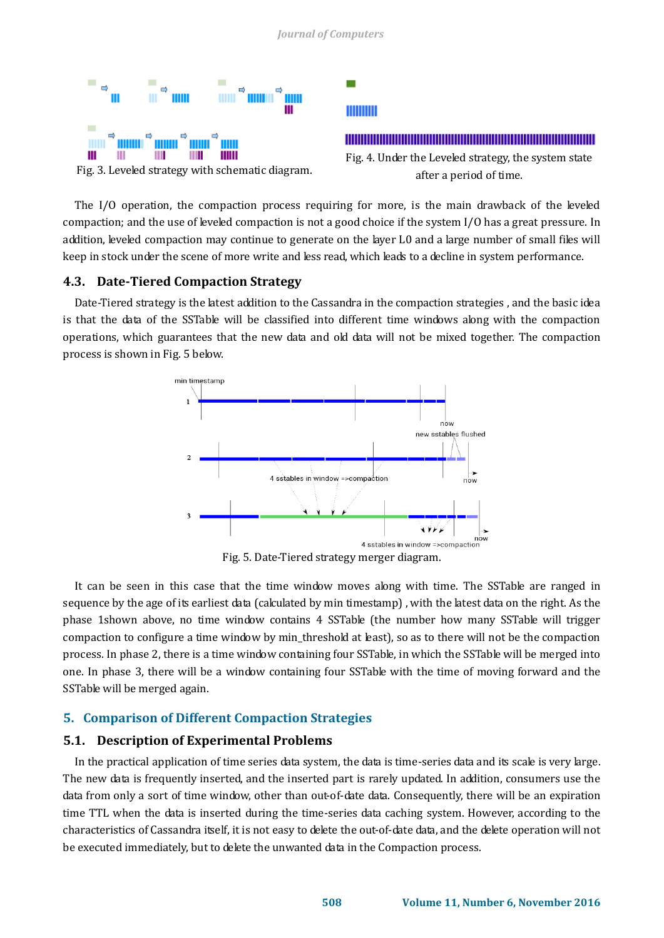

The I/O operation, the compaction process requiring for more, is the main drawback of the leveled compaction; and the use of leveled compaction is not a good choice if the system I/O has a great pressure. In addition, leveled compaction may continue to generate on the layer L0 and a large number of small files will keep in stock under the scene of more write and less read, which leads to a decline in system performance.

## **4.3. Date-Tiered Compaction Strategy**

Date-Tiered strategy is the latest addition to the Cassandra in the compaction strategies , and the basic idea is that the data of the SSTable will be classified into different time windows along with the compaction operations, which guarantees that the new data and old data will not be mixed together. The compaction process is shown in Fig. 5 below.



It can be seen in this case that the time window moves along with time. The SSTable are ranged in sequence by the age of its earliest data (calculated by min timestamp) , with the latest data on the right. As the phase 1shown above, no time window contains 4 SSTable (the number how many SSTable will trigger compaction to configure a time window by min\_threshold at least), so as to there will not be the compaction process. In phase 2, there is a time window containing four SSTable, in which the SSTable will be merged into one. In phase 3, there will be a window containing four SSTable with the time of moving forward and the SSTable will be merged again.

## **5. Comparison of Different Compaction Strategies**

## **5.1. Description of Experimental Problems**

In the practical application of time series data system, the data is time-series data and its scale is very large. The new data is frequently inserted, and the inserted part is rarely updated. In addition, consumers use the data from only a sort of time window, other than out-of-date data. Consequently, there will be an expiration time TTL when the data is inserted during the time-series data caching system. However, according to the characteristics of Cassandra itself, it is not easy to delete the out-of-date data, and the delete operation will not be executed immediately, but to delete the unwanted data in the Compaction process.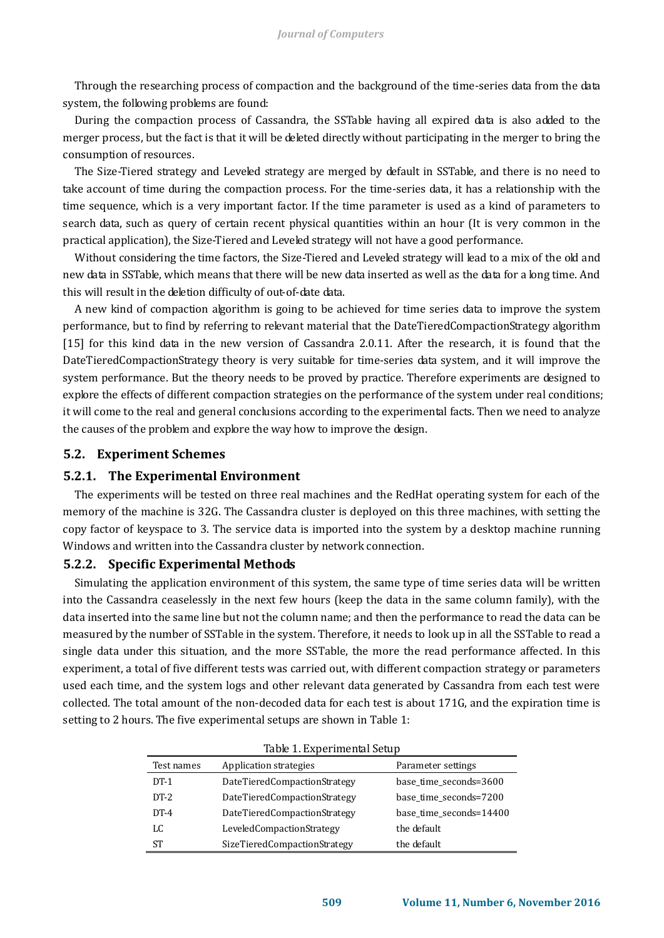Through the researching process of compaction and the background of the time-series data from the data system, the following problems are found:

During the compaction process of Cassandra, the SSTable having all expired data is also added to the merger process, but the fact is that it will be deleted directly without participating in the merger to bring the consumption of resources.

The Size-Tiered strategy and Leveled strategy are merged by default in SSTable, and there is no need to take account of time during the compaction process. For the time-series data, it has a relationship with the time sequence, which is a very important factor. If the time parameter is used as a kind of parameters to search data, such as query of certain recent physical quantities within an hour (It is very common in the practical application), the Size-Tiered and Leveled strategy will not have a good performance.

Without considering the time factors, the Size-Tiered and Leveled strategy will lead to a mix of the old and new data in SSTable, which means that there will be new data inserted as well as the data for a long time. And this will result in the deletion difficulty of out-of-date data.

A new kind of compaction algorithm is going to be achieved for time series data to improve the system performance, but to find by referring to relevant material that the DateTieredCompactionStrategy algorithm [15] for this kind data in the new version of Cassandra 2.0.11. After the research, it is found that the DateTieredCompactionStrategy theory is very suitable for time-series data system, and it will improve the system performance. But the theory needs to be proved by practice. Therefore experiments are designed to explore the effects of different compaction strategies on the performance of the system under real conditions; it will come to the real and general conclusions according to the experimental facts. Then we need to analyze the causes of the problem and explore the way how to improve the design.

## **5.2. Experiment Schemes**

## **5.2.1. The Experimental Environment**

The experiments will be tested on three real machines and the RedHat operating system for each of the memory of the machine is 32G. The Cassandra cluster is deployed on this three machines, with setting the copy factor of keyspace to 3. The service data is imported into the system by a desktop machine running Windows and written into the Cassandra cluster by network connection.

## **5.2.2. Specific Experimental Methods**

Simulating the application environment of this system, the same type of time series data will be written into the Cassandra ceaselessly in the next few hours (keep the data in the same column family), with the data inserted into the same line but not the column name; and then the performance to read the data can be measured by the number of SSTable in the system. Therefore, it needs to look up in all the SSTable to read a single data under this situation, and the more SSTable, the more the read performance affected. In this experiment, a total of five different tests was carried out, with different compaction strategy or parameters used each time, and the system logs and other relevant data generated by Cassandra from each test were collected. The total amount of the non-decoded data for each test is about 171G, and the expiration time is setting to 2 hours. The five experimental setups are shown in Table 1:

| Table 1. Experimental Setup |                              |                         |
|-----------------------------|------------------------------|-------------------------|
| Test names                  | Application strategies       | Parameter settings      |
| $DT-1$                      | DateTieredCompactionStrategy | base time seconds=3600  |
| $DT-2$                      | DateTieredCompactionStrategy | base time seconds=7200  |
| $DT-4$                      | DateTieredCompactionStrategy | base time seconds=14400 |
| LC                          | LeveledCompactionStrategy    | the default             |
| ST                          | SizeTieredCompactionStrategy | the default             |

| Table 1. Experimental Setup |  |
|-----------------------------|--|
|-----------------------------|--|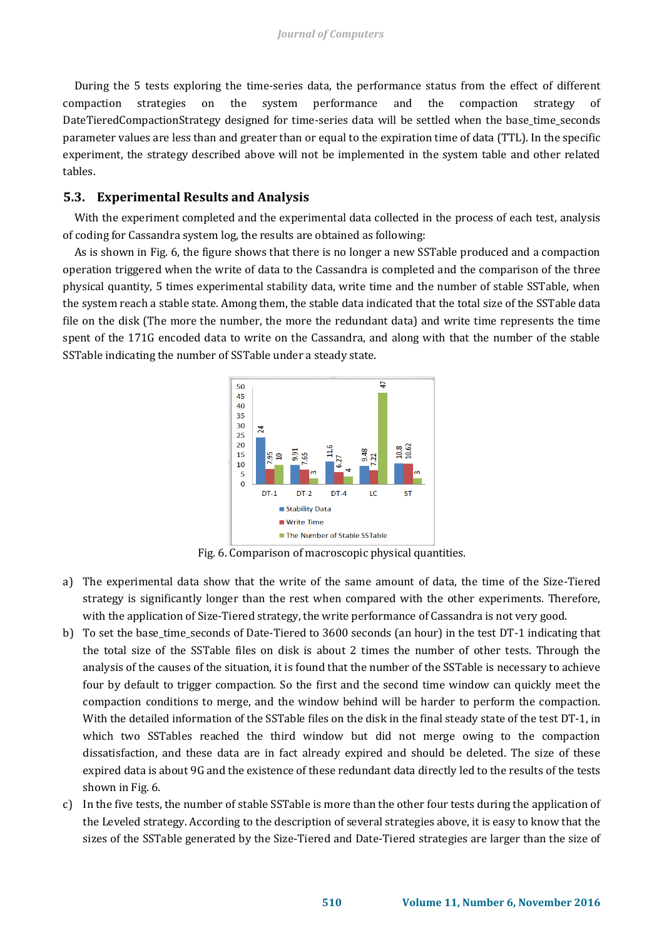During the 5 tests exploring the time-series data, the performance status from the effect of different compaction strategies on the system performance and the compaction strategy of DateTieredCompactionStrategy designed for time-series data will be settled when the base\_time\_seconds parameter values are less than and greater than or equal to the expiration time of data (TTL). In the specific experiment, the strategy described above will not be implemented in the system table and other related tables.

## **5.3. Experimental Results and Analysis**

With the experiment completed and the experimental data collected in the process of each test, analysis of coding for Cassandra system log, the results are obtained as following:

As is shown in Fig. 6, the figure shows that there is no longer a new SSTable produced and a compaction operation triggered when the write of data to the Cassandra is completed and the comparison of the three physical quantity, 5 times experimental stability data, write time and the number of stable SSTable, when the system reach a stable state. Among them, the stable data indicated that the total size of the SSTable data file on the disk (The more the number, the more the redundant data) and write time represents the time spent of the 171G encoded data to write on the Cassandra, and along with that the number of the stable SSTable indicating the number of SSTable under a steady state.



Fig. 6. Comparison of macroscopic physical quantities.

- a) The experimental data show that the write of the same amount of data, the time of the Size-Tiered strategy is significantly longer than the rest when compared with the other experiments. Therefore, with the application of Size-Tiered strategy, the write performance of Cassandra is not very good.
- b) To set the base time seconds of Date-Tiered to 3600 seconds (an hour) in the test DT-1 indicating that the total size of the SSTable files on disk is about 2 times the number of other tests. Through the analysis of the causes of the situation, it is found that the number of the SSTable is necessary to achieve four by default to trigger compaction. So the first and the second time window can quickly meet the compaction conditions to merge, and the window behind will be harder to perform the compaction. With the detailed information of the SSTable files on the disk in the final steady state of the test DT-1, in which two SSTables reached the third window but did not merge owing to the compaction dissatisfaction, and these data are in fact already expired and should be deleted. The size of these expired data is about 9G and the existence of these redundant data directly led to the results of the tests shown in Fig. 6.
- c) In the five tests, the number of stable SSTable is more than the other four tests during the application of the Leveled strategy. According to the description of several strategies above, it is easy to know that the sizes of the SSTable generated by the Size-Tiered and Date-Tiered strategies are larger than the size of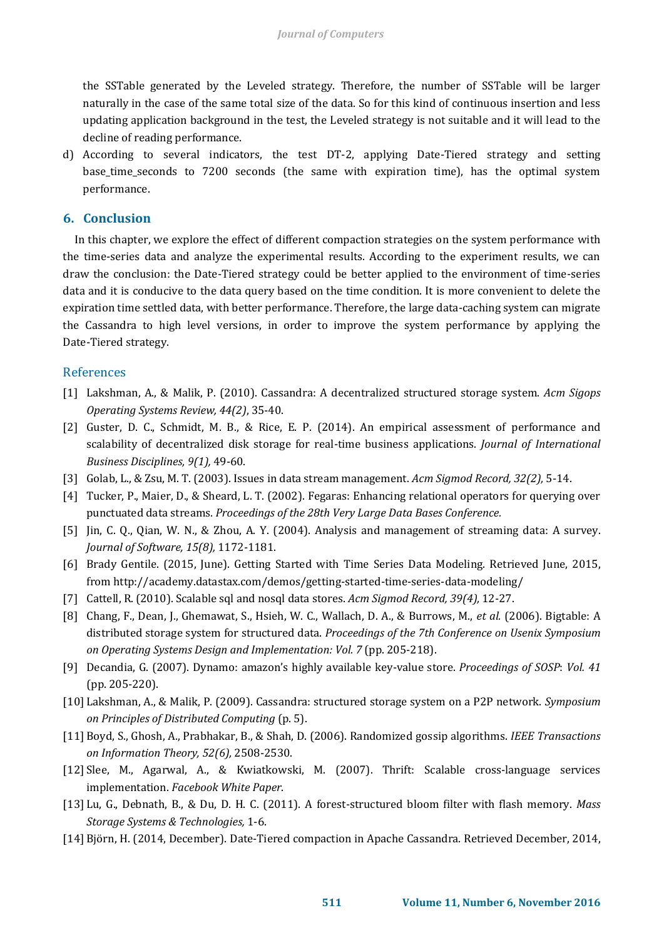the SSTable generated by the Leveled strategy. Therefore, the number of SSTable will be larger naturally in the case of the same total size of the data. So for this kind of continuous insertion and less updating application background in the test, the Leveled strategy is not suitable and it will lead to the decline of reading performance.

d) According to several indicators, the test DT-2, applying Date-Tiered strategy and setting base time seconds to 7200 seconds (the same with expiration time), has the optimal system performance.

## **6. Conclusion**

In this chapter, we explore the effect of different compaction strategies on the system performance with the time-series data and analyze the experimental results. According to the experiment results, we can draw the conclusion: the Date-Tiered strategy could be better applied to the environment of time-series data and it is conducive to the data query based on the time condition. It is more convenient to delete the expiration time settled data, with better performance. Therefore, the large data-caching system can migrate the Cassandra to high level versions, in order to improve the system performance by applying the Date-Tiered strategy.

## References

- [1] Lakshman, A., & Malik, P. (2010). Cassandra: A decentralized structured storage system. *Acm Sigops Operating Systems Review, 44(2)*, 35-40.
- [2] Guster, D. C., Schmidt, M. B., & Rice, E. P. (2014). An empirical assessment of performance and scalability of decentralized disk storage for real-time business applications. *Journal of International Business Disciplines, 9(1),* 49-60.
- [3] Golab, L., & Zsu, M. T. (2003). Issues in data stream management. *Acm Sigmod Record, 32(2),* 5-14.
- [4] Tucker, P., Maier, D., & Sheard, L. T. (2002). Fegaras: Enhancing relational operators for querying over punctuated data streams*. Proceedings of the 28th Very Large Data Bases Conference.*
- [5] Jin, C. Q., Qian, W. N., & Zhou, A. Y. (2004). Analysis and management of streaming data: A survey. *Journal of Software, 15(8),* 1172-1181.
- [6] [Brady Gentile.](http://academy.datastax.com/users/bmgentile) (2015, June). Getting Started with Time Series Data Modeling. Retrieved June, 2015, from http://academy.datastax.com/demos/getting-started-time-series-data-modeling/
- [7] Cattell, R. (2010). Scalable sql and nosql data stores. *Acm Sigmod Record, 39(4),* 12-27.
- [8] Chang, F., Dean, J., Ghemawat, S., Hsieh, W. C., Wallach, D. A., & Burrows, M., *et al.* (2006). Bigtable: A distributed storage system for structured data. *Proceedings of the 7th Conference on Usenix Symposium on Operating Systems Design and Implementation: Vol. 7* (pp. 205-218).
- [9] Decandia, G. (2007). Dynamo: amazon's highly available key-value store. *Proceedings of SOSP*: *Vol. 41* (pp. 205-220).
- [10] Lakshman, A., & Malik, P. (2009). Cassandra: structured storage system on a P2P network. *Symposium on Principles of Distributed Computing* (p. 5).
- [11] Boyd, S., Ghosh, A., Prabhakar, B., & Shah, D. (2006). Randomized gossip algorithms. *IEEE Transactions on Information Theory, 52(6),* 2508-2530.
- [12] Slee, M., Agarwal, A., & Kwiatkowski, M. (2007). Thrift: Scalable cross-language services implementation. *Facebook White Paper*.
- [13] Lu, G., Debnath, B., & Du, D. H. C. (2011). A forest-structured bloom filter with flash memory. *Mass Storage Systems & Technologies,* 1-6.
- [14] [Björn, H.](https://labs.spotify.com/author/bj0rnen/) (2014, December). Date-Tiered compaction in Apache Cassandra. Retrieved December, 2014,